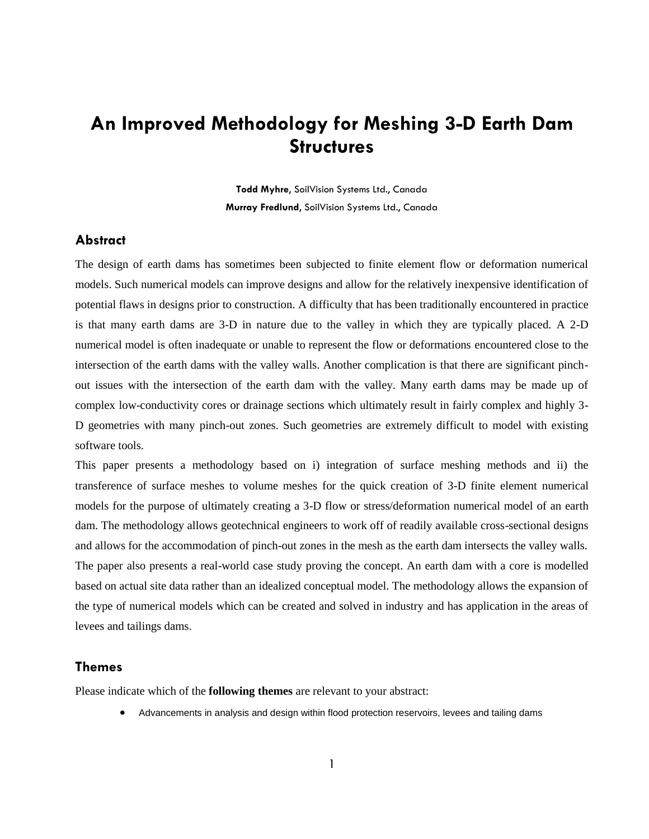# **An Improved Methodology for Meshing 3-D Earth Dam Structures**

**Todd Myhre**, SoilVision Systems Ltd., Canada **Murray Fredlund**, SoilVision Systems Ltd., Canada

# **Abstract**

The design of earth dams has sometimes been subjected to finite element flow or deformation numerical models. Such numerical models can improve designs and allow for the relatively inexpensive identification of potential flaws in designs prior to construction. A difficulty that has been traditionally encountered in practice is that many earth dams are 3-D in nature due to the valley in which they are typically placed. A 2-D numerical model is often inadequate or unable to represent the flow or deformations encountered close to the intersection of the earth dams with the valley walls. Another complication is that there are significant pinchout issues with the intersection of the earth dam with the valley. Many earth dams may be made up of complex low-conductivity cores or drainage sections which ultimately result in fairly complex and highly 3- D geometries with many pinch-out zones. Such geometries are extremely difficult to model with existing software tools.

This paper presents a methodology based on i) integration of surface meshing methods and ii) the transference of surface meshes to volume meshes for the quick creation of 3-D finite element numerical models for the purpose of ultimately creating a 3-D flow or stress/deformation numerical model of an earth dam. The methodology allows geotechnical engineers to work off of readily available cross-sectional designs and allows for the accommodation of pinch-out zones in the mesh as the earth dam intersects the valley walls. The paper also presents a real-world case study proving the concept. An earth dam with a core is modelled based on actual site data rather than an idealized conceptual model. The methodology allows the expansion of the type of numerical models which can be created and solved in industry and has application in the areas of levees and tailings dams.

## **Themes**

Please indicate which of the **following themes** are relevant to your abstract:

Advancements in analysis and design within flood protection reservoirs, levees and tailing dams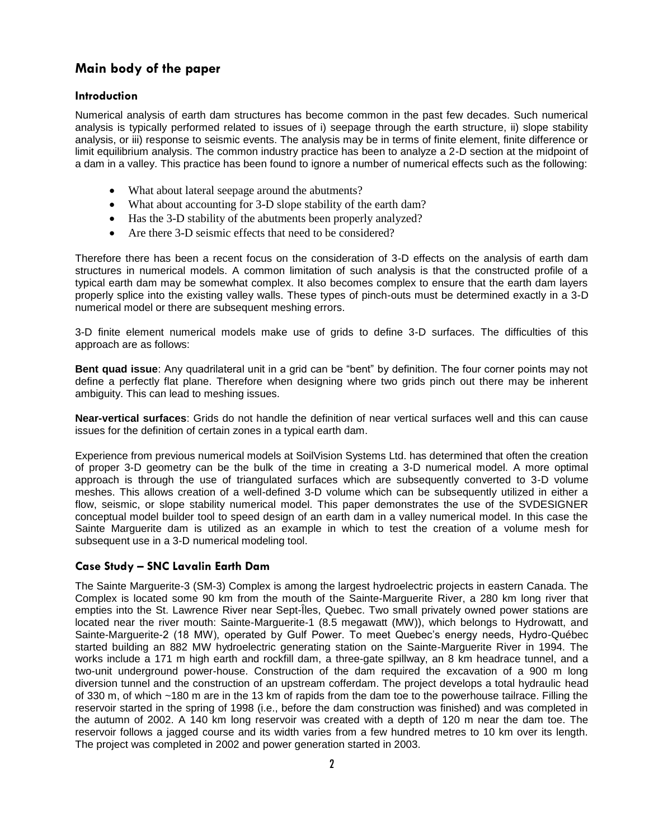# **Main body of the paper**

# **Introduction**

Numerical analysis of earth dam structures has become common in the past few decades. Such numerical analysis is typically performed related to issues of i) seepage through the earth structure, ii) slope stability analysis, or iii) response to seismic events. The analysis may be in terms of finite element, finite difference or limit equilibrium analysis. The common industry practice has been to analyze a 2-D section at the midpoint of a dam in a valley. This practice has been found to ignore a number of numerical effects such as the following:

- What about lateral seepage around the abutments?
- What about accounting for 3-D slope stability of the earth dam?
- Has the 3-D stability of the abutments been properly analyzed?
- Are there 3-D seismic effects that need to be considered?

Therefore there has been a recent focus on the consideration of 3-D effects on the analysis of earth dam structures in numerical models. A common limitation of such analysis is that the constructed profile of a typical earth dam may be somewhat complex. It also becomes complex to ensure that the earth dam layers properly splice into the existing valley walls. These types of pinch-outs must be determined exactly in a 3-D numerical model or there are subsequent meshing errors.

3-D finite element numerical models make use of grids to define 3-D surfaces. The difficulties of this approach are as follows:

**Bent quad issue**: Any quadrilateral unit in a grid can be "bent" by definition. The four corner points may not define a perfectly flat plane. Therefore when designing where two grids pinch out there may be inherent ambiguity. This can lead to meshing issues.

**Near-vertical surfaces**: Grids do not handle the definition of near vertical surfaces well and this can cause issues for the definition of certain zones in a typical earth dam.

Experience from previous numerical models at SoilVision Systems Ltd. has determined that often the creation of proper 3-D geometry can be the bulk of the time in creating a 3-D numerical model. A more optimal approach is through the use of triangulated surfaces which are subsequently converted to 3-D volume meshes. This allows creation of a well-defined 3-D volume which can be subsequently utilized in either a flow, seismic, or slope stability numerical model. This paper demonstrates the use of the SVDESIGNER conceptual model builder tool to speed design of an earth dam in a valley numerical model. In this case the Sainte Marguerite dam is utilized as an example in which to test the creation of a volume mesh for subsequent use in a 3-D numerical modeling tool.

## **Case Study – SNC Lavalin Earth Dam**

The Sainte Marguerite-3 (SM-3) Complex is among the largest hydroelectric projects in eastern Canada. The Complex is located some 90 km from the mouth of the Sainte-Marguerite River, a 280 km long river that empties into the St. Lawrence River near Sept-Îles, Quebec. Two small privately owned power stations are located near the river mouth: Sainte-Marguerite-1 (8.5 megawatt (MW)), which belongs to Hydrowatt, and Sainte-Marguerite-2 (18 MW), operated by Gulf Power. To meet Quebec's energy needs, Hydro-Québec started building an 882 MW hydroelectric generating station on the Sainte-Marguerite River in 1994. The works include a 171 m high earth and rockfill dam, a three-gate spillway, an 8 km headrace tunnel, and a two-unit underground power-house. Construction of the dam required the excavation of a 900 m long diversion tunnel and the construction of an upstream cofferdam. The project develops a total hydraulic head of 330 m, of which ~180 m are in the 13 km of rapids from the dam toe to the powerhouse tailrace. Filling the reservoir started in the spring of 1998 (i.e., before the dam construction was finished) and was completed in the autumn of 2002. A 140 km long reservoir was created with a depth of 120 m near the dam toe. The reservoir follows a jagged course and its width varies from a few hundred metres to 10 km over its length. The project was completed in 2002 and power generation started in 2003.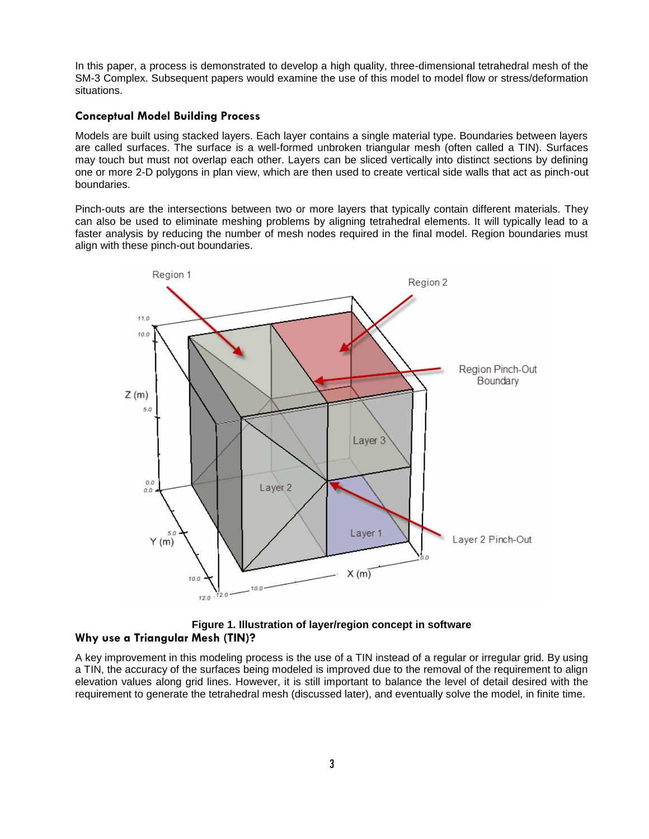In this paper, a process is demonstrated to develop a high quality, three-dimensional tetrahedral mesh of the SM-3 Complex. Subsequent papers would examine the use of this model to model flow or stress/deformation situations.

#### **Conceptual Model Building Process**

Models are built using stacked layers. Each layer contains a single material type. Boundaries between layers are called surfaces. The surface is a well-formed unbroken triangular mesh (often called a TIN). Surfaces may touch but must not overlap each other. Layers can be sliced vertically into distinct sections by defining one or more 2-D polygons in plan view, which are then used to create vertical side walls that act as pinch-out boundaries.

Pinch-outs are the intersections between two or more layers that typically contain different materials. They can also be used to eliminate meshing problems by aligning tetrahedral elements. It will typically lead to a faster analysis by reducing the number of mesh nodes required in the final model. Region boundaries must align with these pinch-out boundaries.



**Figure 1. Illustration of layer/region concept in software Why use a Triangular Mesh (TIN)?**

A key improvement in this modeling process is the use of a TIN instead of a regular or irregular grid. By using a TIN, the accuracy of the surfaces being modeled is improved due to the removal of the requirement to align elevation values along grid lines. However, it is still important to balance the level of detail desired with the requirement to generate the tetrahedral mesh (discussed later), and eventually solve the model, in finite time.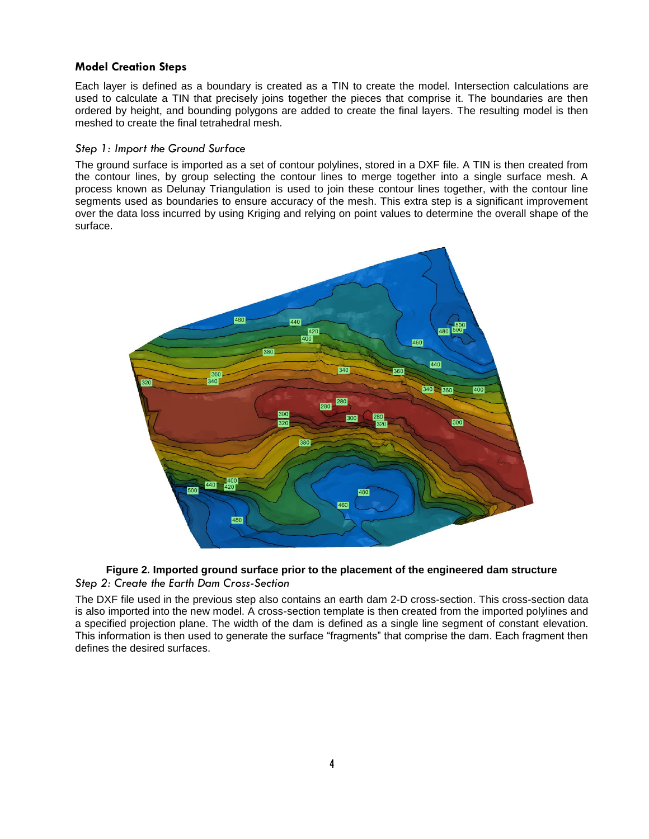## **Model Creation Steps**

Each layer is defined as a boundary is created as a TIN to create the model. Intersection calculations are used to calculate a TIN that precisely joins together the pieces that comprise it. The boundaries are then ordered by height, and bounding polygons are added to create the final layers. The resulting model is then meshed to create the final tetrahedral mesh.

#### *Step 1: Import the Ground Surface*

The ground surface is imported as a set of contour polylines, stored in a DXF file. A TIN is then created from the contour lines, by group selecting the contour lines to merge together into a single surface mesh. A process known as Delunay Triangulation is used to join these contour lines together, with the contour line segments used as boundaries to ensure accuracy of the mesh. This extra step is a significant improvement over the data loss incurred by using Kriging and relying on point values to determine the overall shape of the surface.





The DXF file used in the previous step also contains an earth dam 2-D cross-section. This cross-section data is also imported into the new model. A cross-section template is then created from the imported polylines and a specified projection plane. The width of the dam is defined as a single line segment of constant elevation. This information is then used to generate the surface "fragments" that comprise the dam. Each fragment then defines the desired surfaces.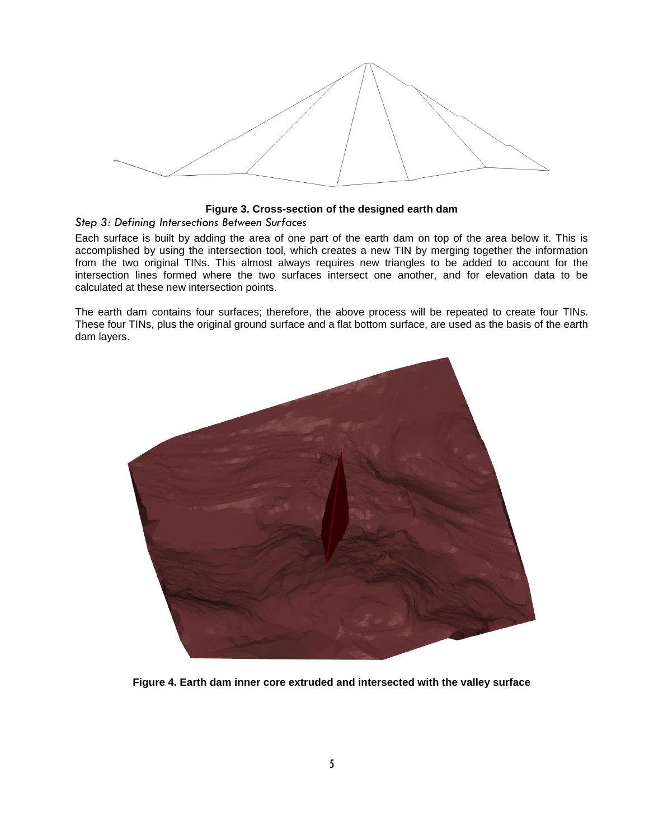

#### **Figure 3. Cross-section of the designed earth dam**

#### *Step 3: Defining Intersections Between Surfaces*

Each surface is built by adding the area of one part of the earth dam on top of the area below it. This is accomplished by using the intersection tool, which creates a new TIN by merging together the information from the two original TINs. This almost always requires new triangles to be added to account for the intersection lines formed where the two surfaces intersect one another, and for elevation data to be calculated at these new intersection points.

The earth dam contains four surfaces; therefore, the above process will be repeated to create four TINs. These four TINs, plus the original ground surface and a flat bottom surface, are used as the basis of the earth dam layers.



**Figure 4. Earth dam inner core extruded and intersected with the valley surface**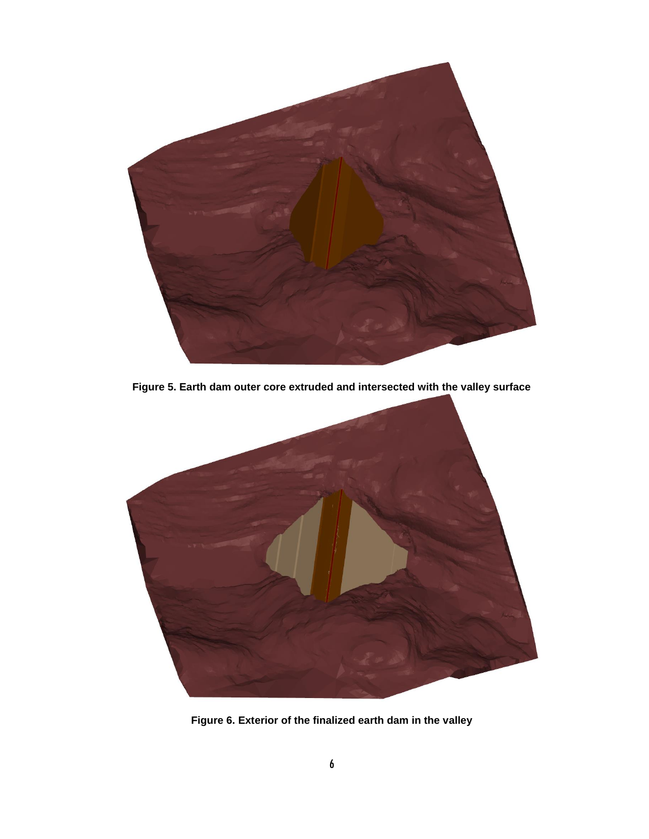

**Figure 5. Earth dam outer core extruded and intersected with the valley surface**



**Figure 6. Exterior of the finalized earth dam in the valley**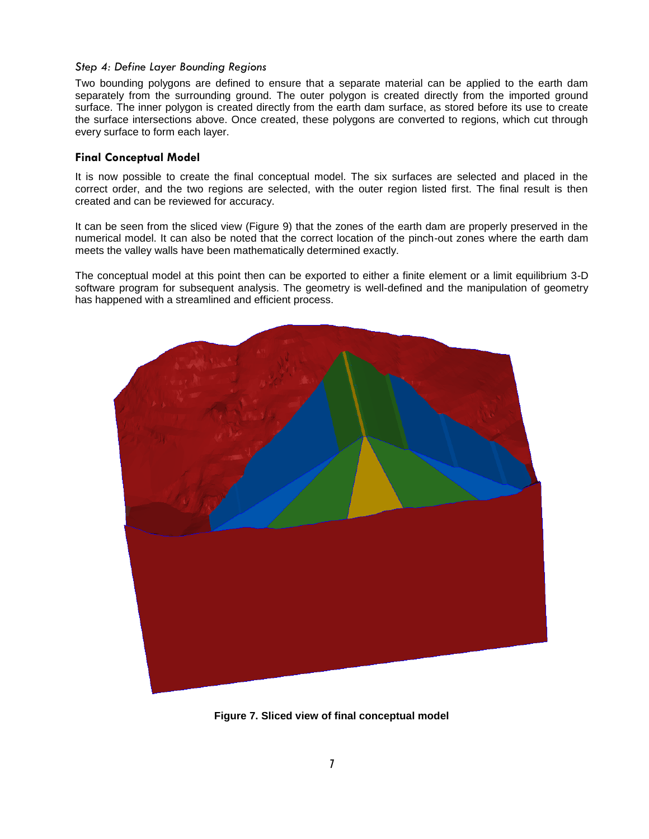#### *Step 4: Define Layer Bounding Regions*

Two bounding polygons are defined to ensure that a separate material can be applied to the earth dam separately from the surrounding ground. The outer polygon is created directly from the imported ground surface. The inner polygon is created directly from the earth dam surface, as stored before its use to create the surface intersections above. Once created, these polygons are converted to regions, which cut through every surface to form each layer.

## **Final Conceptual Model**

It is now possible to create the final conceptual model. The six surfaces are selected and placed in the correct order, and the two regions are selected, with the outer region listed first. The final result is then created and can be reviewed for accuracy.

It can be seen from the sliced view (Figure 9) that the zones of the earth dam are properly preserved in the numerical model. It can also be noted that the correct location of the pinch-out zones where the earth dam meets the valley walls have been mathematically determined exactly.

The conceptual model at this point then can be exported to either a finite element or a limit equilibrium 3-D software program for subsequent analysis. The geometry is well-defined and the manipulation of geometry has happened with a streamlined and efficient process.



**Figure 7. Sliced view of final conceptual model**